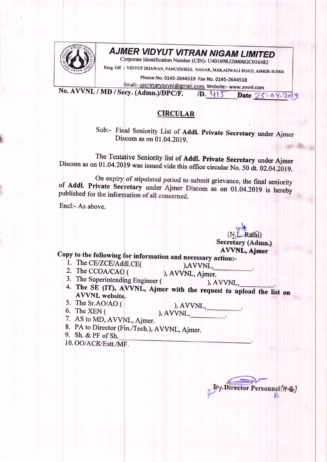

## **AJMER VIDYUT VITRAN NIGAM LIMITED**

Corporate Identification Number (CIN)- U40109RJ2000SGC016482

Resg. Off. :- VIDYUT BHAWAN, PANCHSHEEL NAGAR, MAKADWALI ROAD, AJMER-305004

Phone No. 0145-2644519 Fax No. 0145-2644518

Email:- secretaryavvnl@gmail.com, Website:- www.avvnl.com No. AVVNL / MD / Secy. (Admn.)/DPC/F.

10. 415 Date 25 . 04-2019

## **CIRCULAR**

Sub:- Final Seniority List of Addl. Private Secretary under Ajmer Discom as on 01.04.2019.

The Tentative Seniority list of Addl. Private Secretary under Ajmer Discom as on 01.04.2019 was issued vide this office circular No. 50 dt. 02.04.2019.

On expiry of stipulated period to submit grievance, the final seniority of Addl. Private Secretary under Ajmer Discom as on 01.04.2019 is hereby published for the information of all concerned.

Encl:- As above.

(N.L. Rathi) **Secretary (Admn.) AVVNL, Ajmer** 

Copy to the following for information and necessary action:-

- 1. The CE/ZCE/Addl.CE(
- 2. The CCOA/CAO (

), AVVNL, ), AVVNL, Ajmer.

- 3. The Superintending Engineer (
- ), AVVNL, 4. The SE (IT), AVVNL, Ajmer with the request to upload the list on **AVVNL** website.
- 5. The Sr.AO/AO (
- 
- 6. The XEN (

 $), AVVNL,$ ), AVVNL,

- 
- 7. AS to MD, AVVNL, Ajmer.
- 
- 8. PA to Director (Fin./Tech.), AVVNL, Ajmer. 9. Sh. & PF of Sh.
- 10. OO/ACR/Estt./MF.

Director Personnel(19.6.)